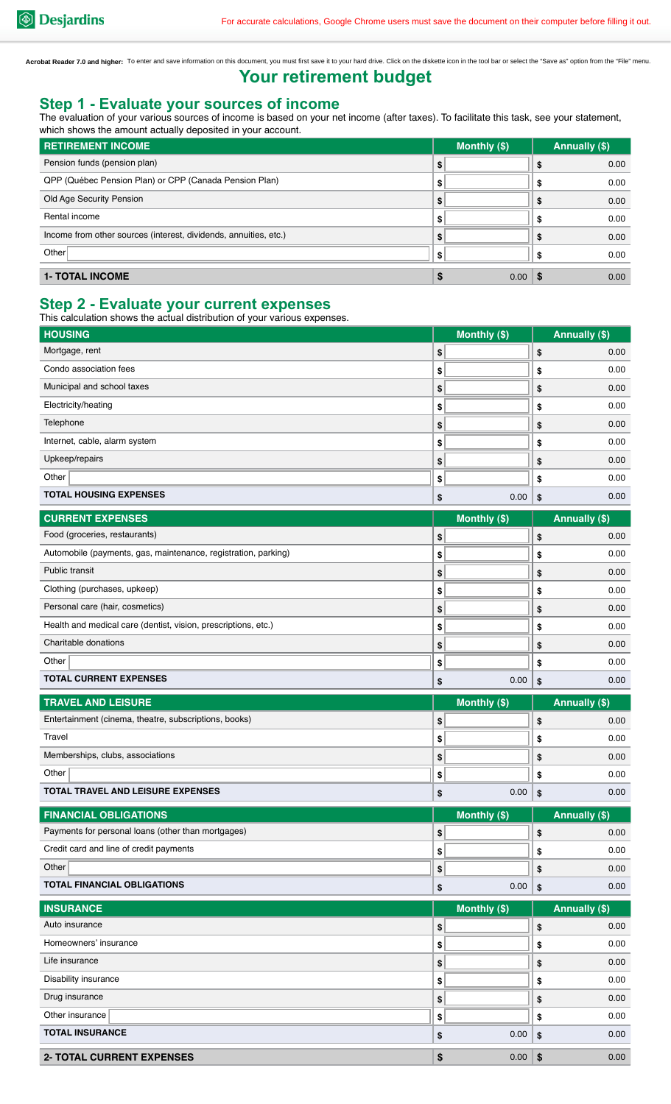# **Your retirement budget**

## **Step 1 - Evaluate your sources of income**

| <b>RETIREMENT INCOME</b>                                         | Monthly (\$) | <b>Annually (\$)</b> |
|------------------------------------------------------------------|--------------|----------------------|
| Pension funds (pension plan)                                     | \$           | 0.00                 |
| QPP (Québec Pension Plan) or CPP (Canada Pension Plan)           | \$           | 0.00                 |
| Old Age Security Pension                                         | \$           | 0.00                 |
| Rental income                                                    | \$           | 0.00                 |
| Income from other sources (interest, dividends, annuities, etc.) | \$           | 0.00                 |
| Other                                                            | \$           | 0.00                 |
| <b>1- TOTAL INCOME</b>                                           | 0.00         | 0.00<br>-5           |

### **Step 2 - Evaluate your current expenses**

|                                                                                                                            |                   | The evaluation of your various sources of income is based on your net income (after taxes). To facilitate this task, see your statement, |                      |
|----------------------------------------------------------------------------------------------------------------------------|-------------------|------------------------------------------------------------------------------------------------------------------------------------------|----------------------|
| which shows the amount actually deposited in your account.<br><b>RETIREMENT INCOME</b>                                     |                   | Monthly (\$)                                                                                                                             | <b>Annually (\$)</b> |
| Pension funds (pension plan)                                                                                               | \$                |                                                                                                                                          | \$<br>0.00           |
| QPP (Québec Pension Plan) or CPP (Canada Pension Plan)                                                                     | \$                |                                                                                                                                          | \$<br>0.00           |
| Old Age Security Pension                                                                                                   | \$                |                                                                                                                                          | \$<br>0.00           |
| Rental income                                                                                                              | \$                |                                                                                                                                          | \$<br>0.00           |
| Income from other sources (interest, dividends, annuities, etc.)                                                           |                   |                                                                                                                                          |                      |
| Other                                                                                                                      | \$                |                                                                                                                                          | \$<br>0.00           |
|                                                                                                                            | \$                |                                                                                                                                          | \$<br>0.00           |
| <b>1- TOTAL INCOME</b>                                                                                                     | \$                | 0.00                                                                                                                                     | \$<br>0.00           |
| <b>Step 2 - Evaluate your current expenses</b><br>This calculation shows the actual distribution of your various expenses. |                   |                                                                                                                                          |                      |
| <b>HOUSING</b>                                                                                                             |                   | Monthly (\$)                                                                                                                             | <b>Annually (\$)</b> |
| Mortgage, rent                                                                                                             | \$                |                                                                                                                                          | \$<br>0.00           |
| Condo association fees                                                                                                     | \$                |                                                                                                                                          | \$<br>0.00           |
| Municipal and school taxes                                                                                                 | \$                |                                                                                                                                          | \$<br>0.00           |
| Electricity/heating                                                                                                        | \$                |                                                                                                                                          | \$<br>0.00           |
| Telephone                                                                                                                  | \$                |                                                                                                                                          | \$<br>0.00           |
| Internet, cable, alarm system                                                                                              | \$                |                                                                                                                                          | \$<br>0.00           |
| Upkeep/repairs                                                                                                             | \$                |                                                                                                                                          | \$<br>0.00           |
| Other                                                                                                                      | \$                |                                                                                                                                          | \$<br>0.00           |
| <b>TOTAL HOUSING EXPENSES</b>                                                                                              | \$                | 0.00                                                                                                                                     | \$<br>0.00           |
| <b>CURRENT EXPENSES</b>                                                                                                    |                   | Monthly (\$)                                                                                                                             | Annually (\$)        |
| Food (groceries, restaurants)                                                                                              | \$                |                                                                                                                                          | \$<br>0.00           |
| Automobile (payments, gas, maintenance, registration, parking)                                                             | \$                |                                                                                                                                          | \$<br>0.00           |
| <b>Public transit</b>                                                                                                      | \$                |                                                                                                                                          | \$<br>0.00           |
| Clothing (purchases, upkeep)                                                                                               | \$                |                                                                                                                                          | \$<br>0.00           |
| Personal care (hair, cosmetics)                                                                                            | \$                |                                                                                                                                          | \$<br>0.00           |
| Health and medical care (dentist, vision, prescriptions, etc.)                                                             | \$                |                                                                                                                                          | \$<br>0.00           |
| Charitable donations                                                                                                       | \$                |                                                                                                                                          | \$<br>0.00           |
| Other                                                                                                                      | \$                |                                                                                                                                          | \$<br>0.00           |
| <b>TOTAL CURRENT EXPENSES</b>                                                                                              | \$                | 0.00                                                                                                                                     | \$<br>0.00           |
| <b>TRAVEL AND LEISURE</b>                                                                                                  |                   | Monthly (\$)                                                                                                                             | <b>Annually (\$)</b> |
| Entertainment (cinema, theatre, subscriptions, books)                                                                      | \$                |                                                                                                                                          | \$<br>0.00           |
| Travel                                                                                                                     | \$                |                                                                                                                                          | \$<br>0.00           |
| Memberships, clubs, associations                                                                                           | \$                |                                                                                                                                          | \$<br>0.00           |
| Other                                                                                                                      | \$                |                                                                                                                                          | \$<br>0.00           |
| <b>TOTAL TRAVEL AND LEISURE EXPENSES</b>                                                                                   | \$                | 0.00                                                                                                                                     | \$<br>0.00           |
| <b>FINANCIAL OBLIGATIONS</b>                                                                                               |                   | Monthly (\$)                                                                                                                             | <b>Annually (\$)</b> |
| Payments for personal loans (other than mortgages)                                                                         | \$                |                                                                                                                                          | \$<br>0.00           |
| Credit card and line of credit payments                                                                                    | \$                |                                                                                                                                          | \$<br>0.00           |
| Other                                                                                                                      | \$                |                                                                                                                                          | \$<br>0.00           |
| <b>TOTAL FINANCIAL OBLIGATIONS</b>                                                                                         | \$                | 0.00                                                                                                                                     | \$<br>0.00           |
| <b>INSURANCE</b>                                                                                                           |                   | Monthly (\$)                                                                                                                             | Annually (\$)        |
| Auto insurance                                                                                                             | \$                |                                                                                                                                          | \$<br>0.00           |
| Homeowners' insurance                                                                                                      | \$                |                                                                                                                                          | \$<br>0.00           |
| Life insurance                                                                                                             | \$                |                                                                                                                                          | \$<br>0.00           |
| Disability insurance                                                                                                       | \$                |                                                                                                                                          | \$<br>0.00           |
| Drug insurance                                                                                                             | \$                |                                                                                                                                          | \$<br>0.00           |
|                                                                                                                            |                   |                                                                                                                                          | \$<br>0.00           |
|                                                                                                                            | \$                |                                                                                                                                          |                      |
| Other insurance<br><b>TOTAL INSURANCE</b>                                                                                  | \$                | 0.00                                                                                                                                     | \$<br>0.00           |
| 2- TOTAL CURRENT EXPENSES                                                                                                  | $\boldsymbol{\$}$ | $0.00$ \$                                                                                                                                | 0.00                 |

| <b>CURRENT EXPENSES</b>                                        | Monthly (\$) | Annually (\$) |  |
|----------------------------------------------------------------|--------------|---------------|--|
| Food (groceries, restaurants)                                  | S            | 0.00          |  |
| Automobile (payments, gas, maintenance, registration, parking) | S            | 0.00          |  |
| Public transit                                                 | S            | 0.00          |  |
| Clothing (purchases, upkeep)                                   | \$           | 0.00          |  |
| Personal care (hair, cosmetics)                                | \$           | 0.00          |  |
| Health and medical care (dentist, vision, prescriptions, etc.) | \$           | 0.00          |  |
| Charitable donations                                           | \$           | 0.00          |  |
| Other                                                          | S            | 0.00          |  |
| <b>TOTAL CURRENT EXPENSES</b>                                  | 0.00         | 0.00          |  |

| <b>TRAVEL AND LEISURE</b>                             | Monthly (\$) | Annually (\$)     |  |
|-------------------------------------------------------|--------------|-------------------|--|
| Entertainment (cinema, theatre, subscriptions, books) |              | 0.00              |  |
| Travel                                                | - 11         | 0.00              |  |
| Memberships, clubs, associations                      | S.           | 0.00 <sub>1</sub> |  |
| Other                                                 |              | 0.00              |  |
| <b>TOTAL TRAVEL AND LEISURE EXPENSES</b>              | 0.00         | 0.00              |  |

| <b>FINANCIAL OBLIGATIONS</b>                       | Monthly (\$) | Annually (\$) |  |
|----------------------------------------------------|--------------|---------------|--|
| Payments for personal loans (other than mortgages) |              | 0.00          |  |
| Credit card and line of credit payments            |              | 0.00          |  |
| Other                                              |              | 0.00          |  |
| <b>TOTAL FINANCIAL OBLIGATIONS</b>                 | 0.00         | 0.00          |  |

| <b>INSURANCE</b>                 | Monthly (\$) | Annually (\$)        |  |
|----------------------------------|--------------|----------------------|--|
| Auto insurance                   | \$           | 0.00                 |  |
| Homeowners' insurance            | \$           | 0.00                 |  |
| Life insurance                   | \$           | 0.00<br>п.           |  |
| Disability insurance             | \$           | 0.00                 |  |
| Drug insurance                   | \$           | 0.00                 |  |
| Other insurance                  | S            | 0.00                 |  |
| <b>TOTAL INSURANCE</b>           | 0.00<br>\$   | 0.00<br>$\mathbf{s}$ |  |
| <b>2- TOTAL CURRENT EXPENSES</b> | 0.00<br>\$   | 0.00<br>-S           |  |